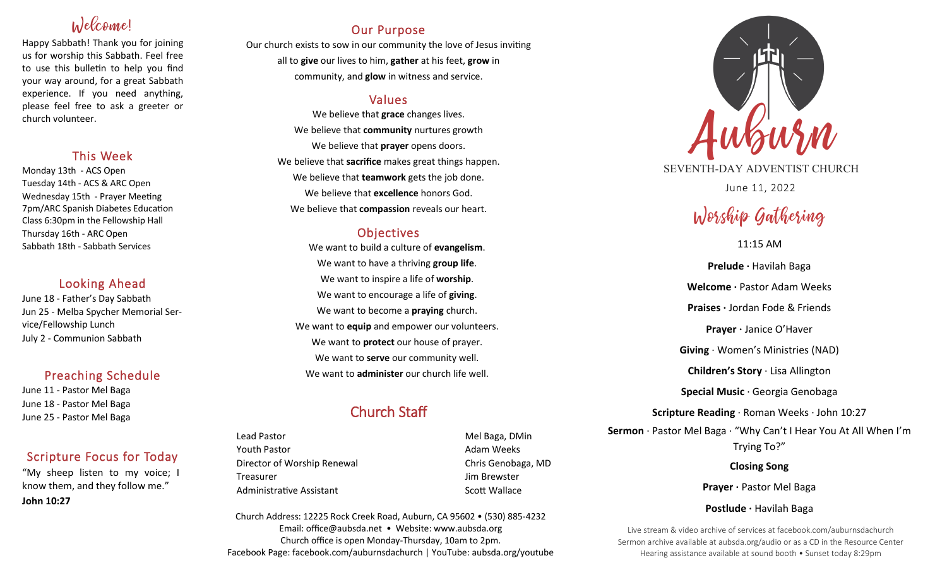# Inlecconnel

Happy Sabbath! Thank you for joining us for worship this Sabbath. Feel free to use this bulletin to help you find your way around, for a great Sabbath experience. If you need anything, please feel free to ask a greeter or church volunteer.

# This Week

Monday 13th - ACS Open Tuesday 14th - ACS & ARC Open Wednesday 15th - Prayer Meeting 7pm/ARC Spanish Diabetes Education Class 6:30pm in the Fellowship Hall Thursday 16th - ARC Open Sabbath 18th - Sabbath Services

## Looking Ahead

June 18 - Father's Day Sabbath Jun 25 - Melba Spycher Memorial Service/Fellowship Lunch July 2 - Communion Sabbath

# Preaching Schedule

June 11 - Pastor Mel Baga June 18 - Pastor Mel Baga June 25 - Pastor Mel Baga

# Scripture Focus for Today

"My sheep listen to my voice; I know them, and they follow me." **John 10:27** 

# Our Purpose

Our church exists to sow in our community the love of Jesus inviting all to **give** our lives to him, **gather** at his feet, **grow** in community, and **glow** in witness and service.

# Values

We believe that **grace** changes lives. We believe that **community** nurtures growth We believe that **prayer** opens doors. We believe that **sacrifice** makes great things happen. We believe that **teamwork** gets the job done. We believe that **excellence** honors God. We believe that **compassion** reveals our heart.

# **Objectives**

We want to build a culture of **evangelism**. We want to have a thriving **group life**. We want to inspire a life of **worship**. We want to encourage a life of **giving**. We want to become a **praying** church. We want to **equip** and empower our volunteers. We want to **protect** our house of prayer. We want to **serve** our community well. We want to **administer** our church life well.

# Church Staff

Lead Pastor **Mel Baga, DMin** Youth Pastor **Adam Weeks Adam Weeks** Director of Worship Renewal Chris Genobaga, MD Treasurer Jim Brewster Administrative Assistant National Controllery Scott Wallace

Church Address: 12225 Rock Creek Road, Auburn, CA 95602 • (530) 885-4232 Email: office@aubsda.net • Website: www.aubsda.org Church office is open Monday-Thursday, 10am to 2pm. Facebook Page: facebook.com/auburnsdachurch | YouTube: aubsda.org/youtube



SEVENTH-DAY ADVENTIST CHURCH June 11, 2022

# Worship Gathering

## 11:15 AM

**Prelude ·** Havilah Baga **Welcome ·** Pastor Adam Weeks **Praises ·** Jordan Fode & Friends **Prayer ·** Janice O'Haver **Giving** · Women's Ministries (NAD) **Children's Story** · Lisa Allington **Special Music** · Georgia Genobaga **Scripture Reading** · Roman Weeks · John 10:27 **Sermon** · Pastor Mel Baga · "Why Can't I Hear You At All When I'm Trying To?" **Closing Song**

Prayer · Pastor Mel Baga

### **Postlude ·** Havilah Baga

Live stream & video archive of services at facebook.com/auburnsdachurch Sermon archive available at aubsda.org/audio or as a CD in the Resource Center Hearing assistance available at sound booth • Sunset today 8:29pm